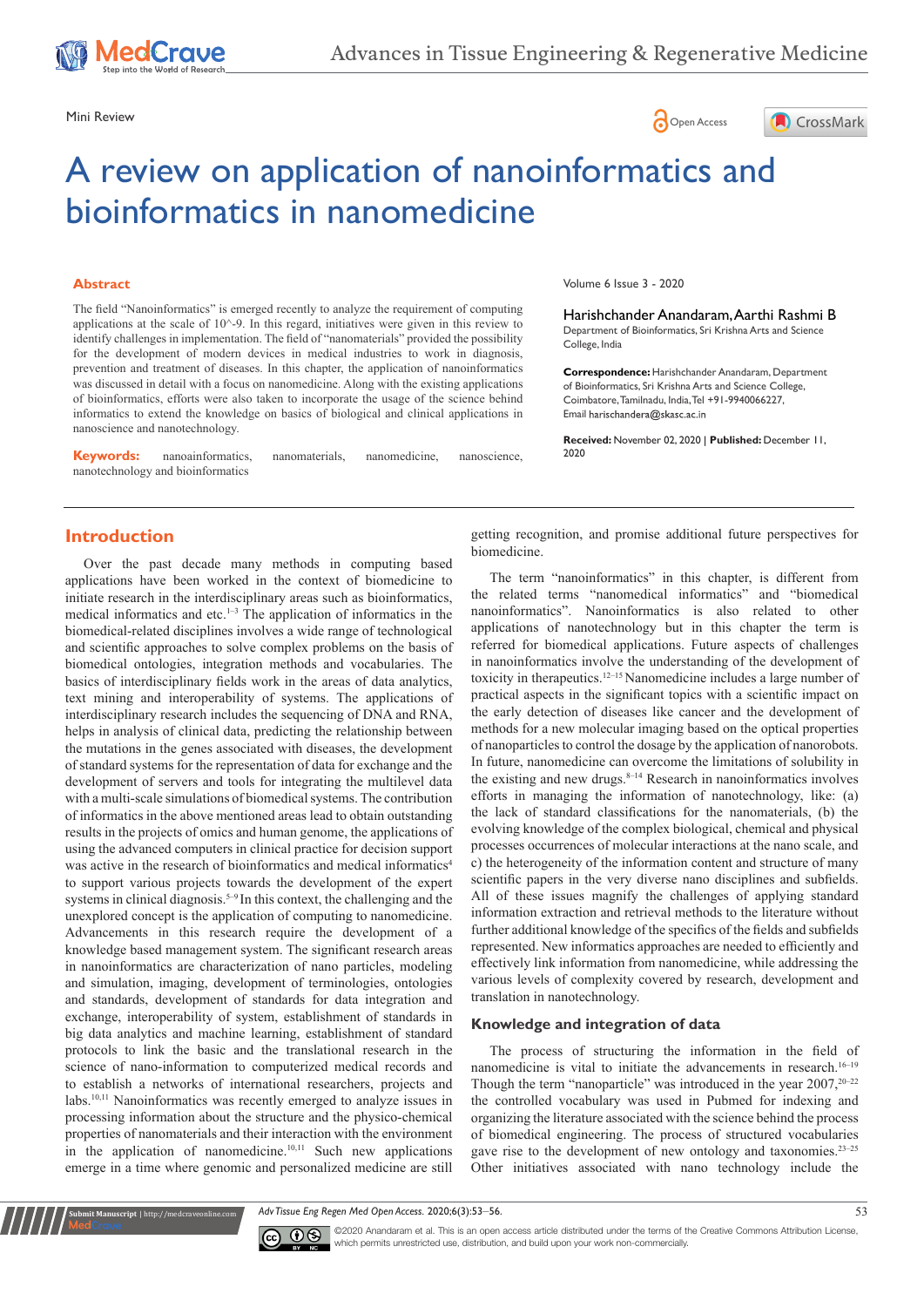





# A review on application of nanoinformatics and bioinformatics in nanomedicine

#### **Abstract**

The field "Nanoinformatics" is emerged recently to analyze the requirement of computing applications at the scale of 10^-9. In this regard, initiatives were given in this review to identify challenges in implementation. The field of "nanomaterials" provided the possibility for the development of modern devices in medical industries to work in diagnosis, prevention and treatment of diseases. In this chapter, the application of nanoinformatics was discussed in detail with a focus on nanomedicine. Along with the existing applications of bioinformatics, efforts were also taken to incorporate the usage of the science behind informatics to extend the knowledge on basics of biological and clinical applications in nanoscience and nanotechnology.

**Keywords:** nanoainformatics, nanomaterials, nanomedicine, nanoscience nanotechnology and bioinformatics

Volume 6 Issue 3 - 2020

Harishchander Anandaram, Aarthi Rashmi B Department of Bioinformatics, Sri Krishna Arts and Science College, India

**Correspondence:** Harishchander Anandaram, Department of Bioinformatics, Sri Krishna Arts and Science College, Coimbatore, Tamilnadu, India, Tel +91-9940066227, Email harischandera@skasc.ac.in

**Received:** November 02, 2020 | **Published:** December 11, 2020

# **Introduction**

Over the past decade many methods in computing based applications have been worked in the context of biomedicine to initiate research in the interdisciplinary areas such as bioinformatics, medical informatics and etc.<sup>1-3</sup> The application of informatics in the biomedical-related disciplines involves a wide range of technological and scientific approaches to solve complex problems on the basis of biomedical ontologies, integration methods and vocabularies. The basics of interdisciplinary fields work in the areas of data analytics, text mining and interoperability of systems. The applications of interdisciplinary research includes the sequencing of DNA and RNA, helps in analysis of clinical data, predicting the relationship between the mutations in the genes associated with diseases, the development of standard systems for the representation of data for exchange and the development of servers and tools for integrating the multilevel data with a multi-scale simulations of biomedical systems. The contribution of informatics in the above mentioned areas lead to obtain outstanding results in the projects of omics and human genome, the applications of using the advanced computers in clinical practice for decision support was active in the research of bioinformatics and medical informatics<sup>4</sup> to support various projects towards the development of the expert systems in clinical diagnosis.<sup>5-9</sup> In this context, the challenging and the unexplored concept is the application of computing to nanomedicine. Advancements in this research require the development of a knowledge based management system. The significant research areas in nanoinformatics are characterization of nano particles, modeling and simulation, imaging, development of terminologies, ontologies and standards, development of standards for data integration and exchange, interoperability of system, establishment of standards in big data analytics and machine learning, establishment of standard protocols to link the basic and the translational research in the science of nano-information to computerized medical records and to establish a networks of international researchers, projects and labs.10,11 Nanoinformatics was recently emerged to analyze issues in processing information about the structure and the physico-chemical properties of nanomaterials and their interaction with the environment in the application of nanomedicine.<sup>10,11</sup> Such new applications emerge in a time where genomic and personalized medicine are still getting recognition, and promise additional future perspectives for biomedicine.

The term "nanoinformatics" in this chapter, is different from the related terms "nanomedical informatics" and "biomedical nanoinformatics". Nanoinformatics is also related to other applications of nanotechnology but in this chapter the term is referred for biomedical applications. Future aspects of challenges in nanoinformatics involve the understanding of the development of toxicity in therapeutics.12–15 Nanomedicine includes a large number of practical aspects in the significant topics with a scientific impact on the early detection of diseases like cancer and the development of methods for a new molecular imaging based on the optical properties of nanoparticles to control the dosage by the application of nanorobots. In future, nanomedicine can overcome the limitations of solubility in the existing and new drugs. $8-14$  Research in nanoinformatics involves efforts in managing the information of nanotechnology, like: (a) the lack of standard classifications for the nanomaterials, (b) the evolving knowledge of the complex biological, chemical and physical processes occurrences of molecular interactions at the nano scale, and c) the heterogeneity of the information content and structure of many scientific papers in the very diverse nano disciplines and subfields. All of these issues magnify the challenges of applying standard information extraction and retrieval methods to the literature without further additional knowledge of the specifics of the fields and subfields represented. New informatics approaches are needed to efficiently and effectively link information from nanomedicine, while addressing the various levels of complexity covered by research, development and translation in nanotechnology.

# **Knowledge and integration of data**

The process of structuring the information in the field of nanomedicine is vital to initiate the advancements in research.16–19 Though the term "nanoparticle" was introduced in the year  $2007$ ,  $20-22$ the controlled vocabulary was used in Pubmed for indexing and organizing the literature associated with the science behind the process of biomedical engineering. The process of structured vocabularies gave rise to the development of new ontology and taxonomies.23–25 Other initiatives associated with nano technology include the

*Adv Tissue Eng Regen Med Open Access.* 2020;6(3):53‒56. 53



**it Manuscript** | http://medcraveonline.c

©2020 Anandaram et al. This is an open access article distributed under the terms of the [Creative Commons Attribution License](https://creativecommons.org/licenses/by-nc/4.0/), which permits unrestricted use, distribution, and build upon your work non-commercially.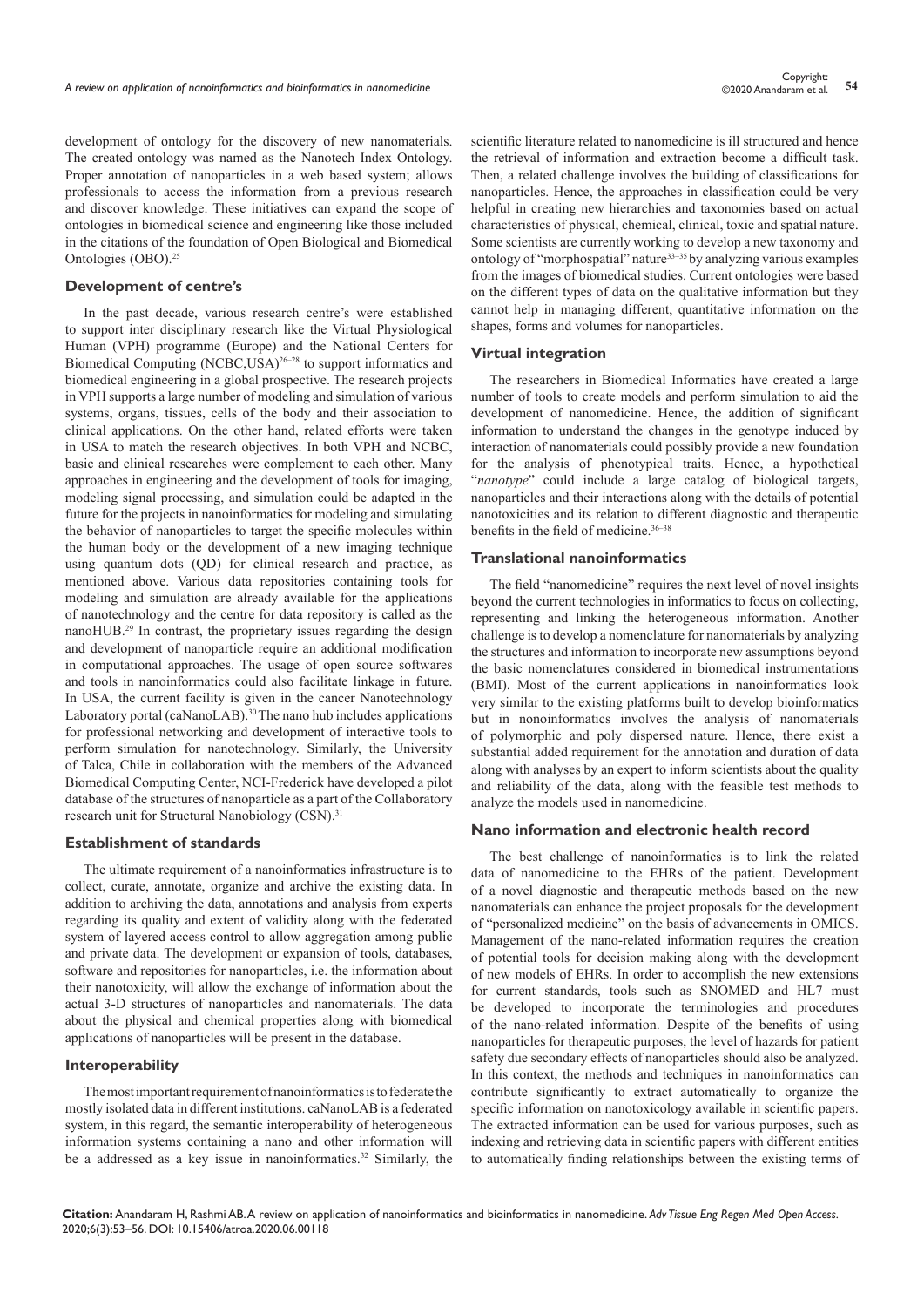development of ontology for the discovery of new nanomaterials. The created ontology was named as the Nanotech Index Ontology. Proper annotation of nanoparticles in a web based system; allows professionals to access the information from a previous research and discover knowledge. These initiatives can expand the scope of ontologies in biomedical science and engineering like those included in the citations of the foundation of Open Biological and Biomedical Ontologies (OBO).25

#### **Development of centre's**

In the past decade, various research centre's were established to support inter disciplinary research like the Virtual Physiological Human (VPH) programme (Europe) and the National Centers for Biomedical Computing (NCBC,USA)<sup>26–28</sup> to support informatics and biomedical engineering in a global prospective. The research projects in VPH supports a large number of modeling and simulation of various systems, organs, tissues, cells of the body and their association to clinical applications. On the other hand, related efforts were taken in USA to match the research objectives. In both VPH and NCBC, basic and clinical researches were complement to each other. Many approaches in engineering and the development of tools for imaging, modeling signal processing, and simulation could be adapted in the future for the projects in nanoinformatics for modeling and simulating the behavior of nanoparticles to target the specific molecules within the human body or the development of a new imaging technique using quantum dots (QD) for clinical research and practice, as mentioned above. Various data repositories containing tools for modeling and simulation are already available for the applications of nanotechnology and the centre for data repository is called as the nanoHUB.29 In contrast, the proprietary issues regarding the design and development of nanoparticle require an additional modification in computational approaches. The usage of open source softwares and tools in nanoinformatics could also facilitate linkage in future. In USA, the current facility is given in the cancer Nanotechnology Laboratory portal (caNanoLAB).<sup>30</sup> The nano hub includes applications for professional networking and development of interactive tools to perform simulation for nanotechnology. Similarly, the University of Talca, Chile in collaboration with the members of the Advanced Biomedical Computing Center, NCI-Frederick have developed a pilot database of the structures of nanoparticle as a part of the Collaboratory research unit for Structural Nanobiology (CSN).<sup>31</sup>

#### **Establishment of standards**

The ultimate requirement of a nanoinformatics infrastructure is to collect, curate, annotate, organize and archive the existing data. In addition to archiving the data, annotations and analysis from experts regarding its quality and extent of validity along with the federated system of layered access control to allow aggregation among public and private data. The development or expansion of tools, databases, software and repositories for nanoparticles, i.e. the information about their nanotoxicity, will allow the exchange of information about the actual 3-D structures of nanoparticles and nanomaterials. The data about the physical and chemical properties along with biomedical applications of nanoparticles will be present in the database.

## **Interoperability**

The most important requirement of nanoinformatics is to federate the mostly isolated data in different institutions. caNanoLAB is a federated system, in this regard, the semantic interoperability of heterogeneous information systems containing a nano and other information will be a addressed as a key issue in nanoinformatics.<sup>32</sup> Similarly, the scientific literature related to nanomedicine is ill structured and hence the retrieval of information and extraction become a difficult task. Then, a related challenge involves the building of classifications for nanoparticles. Hence, the approaches in classification could be very helpful in creating new hierarchies and taxonomies based on actual characteristics of physical, chemical, clinical, toxic and spatial nature. Some scientists are currently working to develop a new taxonomy and ontology of "morphospatial" nature<sup>33-35</sup> by analyzing various examples from the images of biomedical studies. Current ontologies were based on the different types of data on the qualitative information but they cannot help in managing different, quantitative information on the shapes, forms and volumes for nanoparticles.

## **Virtual integration**

The researchers in Biomedical Informatics have created a large number of tools to create models and perform simulation to aid the development of nanomedicine. Hence, the addition of significant information to understand the changes in the genotype induced by interaction of nanomaterials could possibly provide a new foundation for the analysis of phenotypical traits. Hence, a hypothetical "*nanotype*" could include a large catalog of biological targets, nanoparticles and their interactions along with the details of potential nanotoxicities and its relation to different diagnostic and therapeutic benefits in the field of medicine.<sup>36-38</sup>

#### **Translational nanoinformatics**

The field "nanomedicine" requires the next level of novel insights beyond the current technologies in informatics to focus on collecting, representing and linking the heterogeneous information. Another challenge is to develop a nomenclature for nanomaterials by analyzing the structures and information to incorporate new assumptions beyond the basic nomenclatures considered in biomedical instrumentations (BMI). Most of the current applications in nanoinformatics look very similar to the existing platforms built to develop bioinformatics but in nonoinformatics involves the analysis of nanomaterials of polymorphic and poly dispersed nature. Hence, there exist a substantial added requirement for the annotation and duration of data along with analyses by an expert to inform scientists about the quality and reliability of the data, along with the feasible test methods to analyze the models used in nanomedicine.

#### **Nano information and electronic health record**

The best challenge of nanoinformatics is to link the related data of nanomedicine to the EHRs of the patient. Development of a novel diagnostic and therapeutic methods based on the new nanomaterials can enhance the project proposals for the development of "personalized medicine" on the basis of advancements in OMICS. Management of the nano-related information requires the creation of potential tools for decision making along with the development of new models of EHRs. In order to accomplish the new extensions for current standards, tools such as SNOMED and HL7 must be developed to incorporate the terminologies and procedures of the nano-related information. Despite of the benefits of using nanoparticles for therapeutic purposes, the level of hazards for patient safety due secondary effects of nanoparticles should also be analyzed. In this context, the methods and techniques in nanoinformatics can contribute significantly to extract automatically to organize the specific information on nanotoxicology available in scientific papers. The extracted information can be used for various purposes, such as indexing and retrieving data in scientific papers with different entities to automatically finding relationships between the existing terms of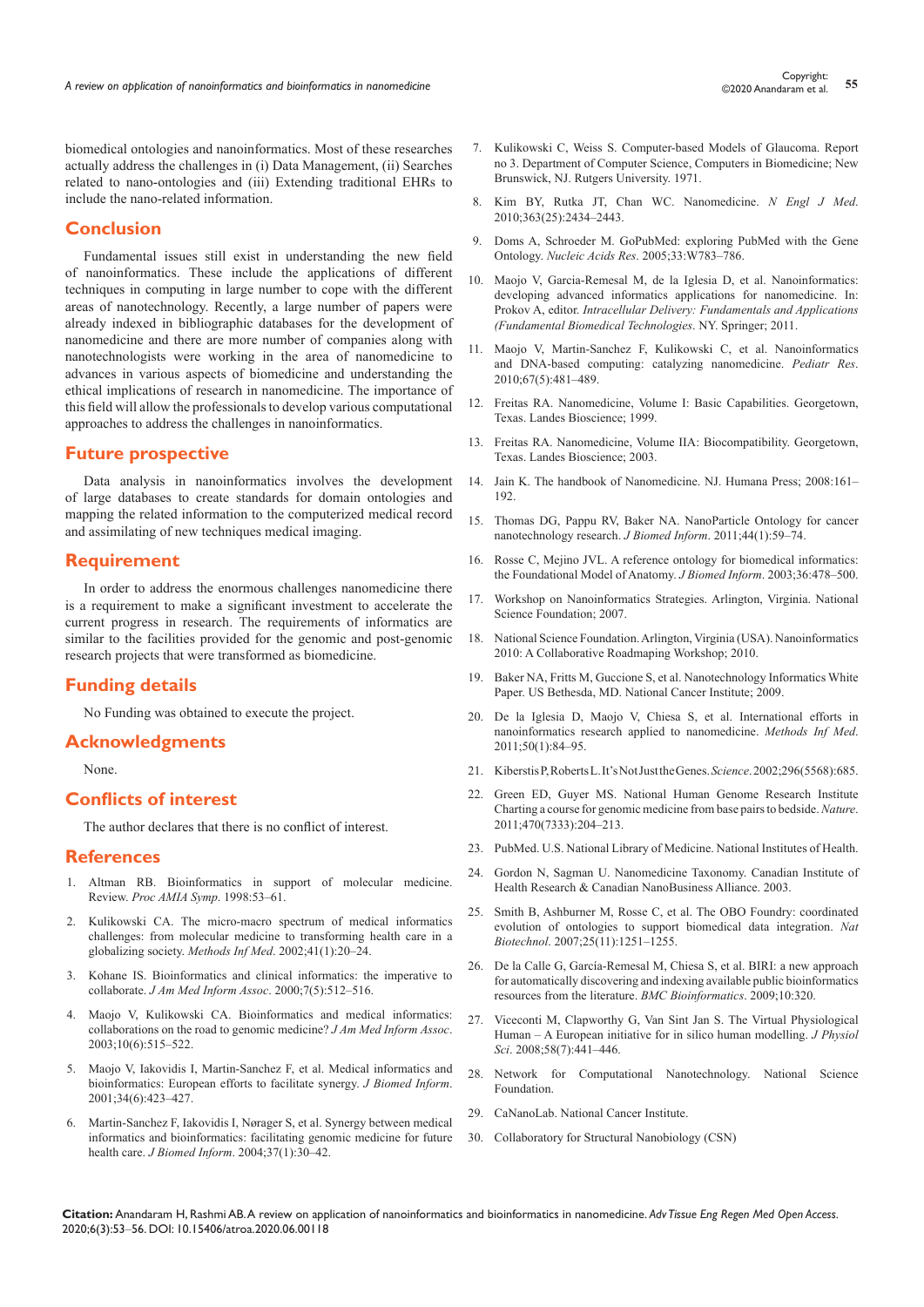biomedical ontologies and nanoinformatics. Most of these researches actually address the challenges in (i) Data Management, (ii) Searches related to nano-ontologies and (iii) Extending traditional EHRs to include the nano-related information.

## **Conclusion**

Fundamental issues still exist in understanding the new field of nanoinformatics. These include the applications of different techniques in computing in large number to cope with the different areas of nanotechnology. Recently, a large number of papers were already indexed in bibliographic databases for the development of nanomedicine and there are more number of companies along with nanotechnologists were working in the area of nanomedicine to advances in various aspects of biomedicine and understanding the ethical implications of research in nanomedicine. The importance of this field will allow the professionals to develop various computational approaches to address the challenges in nanoinformatics.

# **Future prospective**

Data analysis in nanoinformatics involves the development of large databases to create standards for domain ontologies and mapping the related information to the computerized medical record and assimilating of new techniques medical imaging.

#### **Requirement**

In order to address the enormous challenges nanomedicine there is a requirement to make a significant investment to accelerate the current progress in research. The requirements of informatics are similar to the facilities provided for the genomic and post-genomic research projects that were transformed as biomedicine.

## **Funding details**

No Funding was obtained to execute the project.

## **Acknowledgments**

None.

# **Conflicts of interest**

The author declares that there is no conflict of interest.

#### **References**

- 1. [Altman RB. Bioinformatics in support of molecular medicine.](https://pubmed.ncbi.nlm.nih.gov/9929182/#:~:text=Bioinformatics studies two important information flows in modern biology.&text=For example%2C DNA sequence information,part of clinical information systems.)  Review. *[Proc AMIA Symp](https://pubmed.ncbi.nlm.nih.gov/9929182/#:~:text=Bioinformatics studies two important information flows in modern biology.&text=For example%2C DNA sequence information,part of clinical information systems.)*. 1998:53–61.
- 2. [Kulikowski CA. The micro-macro spectrum of medical informatics](https://pubmed.ncbi.nlm.nih.gov/11933758/)  [challenges: from molecular medicine to transforming health care in a](https://pubmed.ncbi.nlm.nih.gov/11933758/)  globalizing society. *Methods Inf Med*[. 2002;41\(1\):20–24.](https://pubmed.ncbi.nlm.nih.gov/11933758/)
- 3. [Kohane IS. Bioinformatics and clinical informatics: the imperative to](https://pubmed.ncbi.nlm.nih.gov/10984470/)  collaborate. *J Am Med Inform Assoc*. [2000;7\(5\):512–516.](https://pubmed.ncbi.nlm.nih.gov/10984470/)
- 4. [Maojo V, Kulikowski CA. Bioinformatics and medical informatics:](https://pubmed.ncbi.nlm.nih.gov/12925552/)  [collaborations on the road to genomic medicine?](https://pubmed.ncbi.nlm.nih.gov/12925552/) *J Am Med Inform Assoc*. [2003;10\(6\):515–522.](https://pubmed.ncbi.nlm.nih.gov/12925552/)
- 5. [Maojo V, Iakovidis I, Martin-Sanchez F, et al. Medical informatics and](https://www.sciencedirect.com/science/article/pii/S1532046402910427)  [bioinformatics: European efforts to facilitate synergy.](https://www.sciencedirect.com/science/article/pii/S1532046402910427) *J Biomed Inform*. [2001;34\(6\):423–427.](https://www.sciencedirect.com/science/article/pii/S1532046402910427)
- 6. [Martin-Sanchez F, Iakovidis I, Nørager S, et al. Synergy between medical](https://pubmed.ncbi.nlm.nih.gov/15016384/)  [informatics and bioinformatics: facilitating genomic medicine for future](https://pubmed.ncbi.nlm.nih.gov/15016384/)  health care. *J Biomed Inform*[. 2004;37\(1\):30–42.](https://pubmed.ncbi.nlm.nih.gov/15016384/)
- 7. Kulikowski C, Weiss S. Computer-based Models of Glaucoma. Report no 3. Department of Computer Science, Computers in Biomedicine; New Brunswick, NJ. Rutgers University. 1971.
- 8. [Kim BY, Rutka JT, Chan WC. Nanomedicine.](https://pubmed.ncbi.nlm.nih.gov/21158659/) *N Engl J Med*. [2010;363\(25\):2434–2443.](https://pubmed.ncbi.nlm.nih.gov/21158659/)
- 9. [Doms A, Schroeder M. GoPubMed: exploring PubMed with the Gene](https://pubmed.ncbi.nlm.nih.gov/15980585/)  Ontology. *Nucleic Acids Res*. [2005;33:W783–786.](https://pubmed.ncbi.nlm.nih.gov/15980585/)
- 10. Maojo V, Garcia-Remesal M, de la Iglesia D, et al. Nanoinformatics: developing advanced informatics applications for nanomedicine. In: Prokov A, editor. *Intracellular Delivery: Fundamentals and Applications (Fundamental Biomedical Technologies*. NY. Springer; 2011.
- 11. [Maojo V, Martin-Sanchez F, Kulikowski C, et al. Nanoinformatics](https://pubmed.ncbi.nlm.nih.gov/20118825/)  [and DNA-based computing: catalyzing nanomedicine.](https://pubmed.ncbi.nlm.nih.gov/20118825/) *Pediatr Res*. [2010;67\(5\):481–489.](https://pubmed.ncbi.nlm.nih.gov/20118825/)
- 12. [Freitas RA. Nanomedicine, Volume I: Basic Capabilities.](http://kriorus.ru/sites/kriorus/files/nanomed/NANOMEDI.PDF) Georgetown, [Texas. Landes Bioscience; 1999.](http://kriorus.ru/sites/kriorus/files/nanomed/NANOMEDI.PDF)
- 13. Freitas RA. [Nanomedicine, Volume IIA: Biocompatibility.](http://www.nanomedicine.com/NMIIA.htm) Georgetown, [Texas. Landes Bioscience; 2003.](http://www.nanomedicine.com/NMIIA.htm)
- 14. Jain K. [The handbook of Nanomedicine.](https://www.springer.com/gp/book/9781603273183) NJ. Humana Press; 2008:161– [192.](https://www.springer.com/gp/book/9781603273183)
- 15. [Thomas DG, Pappu RV, Baker NA. NanoParticle Ontology for cancer](https://www.sciencedirect.com/science/article/pii/S1532046410000341#:~:text=The NPO was developed to,National Center for Biomedical Ontology.)  [nanotechnology research.](https://www.sciencedirect.com/science/article/pii/S1532046410000341#:~:text=The NPO was developed to,National Center for Biomedical Ontology.) *J Biomed Inform*. 2011;44(1):59–74.
- 16. [Rosse C, Mejino JVL. A reference ontology for biomedical informatics:](https://pubmed.ncbi.nlm.nih.gov/14759820/#:~:text=The Foundational Model of Anatomy (FMA)%2C initially developed as,organization of the human body.)  [the Foundational Model of Anatomy.](https://pubmed.ncbi.nlm.nih.gov/14759820/#:~:text=The Foundational Model of Anatomy (FMA)%2C initially developed as,organization of the human body.) *J Biomed Inform*. 2003;36:478–500.
- 17. Workshop on Nanoinformatics Strategies. Arlington, Virginia. National Science Foundation; 2007.
- 18. National Science Foundation. Arlington, Virginia (USA). Nanoinformatics 2010: A Collaborative Roadmaping Workshop; 2010.
- 19. Baker NA, Fritts M, Guccione S, et al. Nanotechnology Informatics White Paper. US Bethesda, MD. National Cancer Institute; 2009.
- 20. [De la Iglesia D, Maojo V, Chiesa S, et al. International efforts in](https://pubmed.ncbi.nlm.nih.gov/21085742/)  [nanoinformatics research applied to nanomedicine.](https://pubmed.ncbi.nlm.nih.gov/21085742/) *Methods Inf Med*. [2011;50\(1\):84–95.](https://pubmed.ncbi.nlm.nih.gov/21085742/)
- 21. [Kiberstis P, Roberts L. It's Not Just the Genes.](https://science.sciencemag.org/content/296/5568/685)*Science*. 2002;296(5568):685.
- 22. [Green ED, Guyer MS. National Human Genome Research Institute](https://pubmed.ncbi.nlm.nih.gov/21307933/)  [Charting a course for genomic medicine from base pairs to bedside.](https://pubmed.ncbi.nlm.nih.gov/21307933/)*Nature*. [2011;470\(7333\):204–213.](https://pubmed.ncbi.nlm.nih.gov/21307933/)
- 23. PubMed. U.S. National Library of Medicine. National Institutes of Health.
- 24. Gordon N, Sagman U. [Nanomedicine Taxonomy.](http://www.ifm.liu.se/physchem/courses/NKEC18/Nanomedicinetaxonomy.pdf) Canadian Institute of [Health Research & Canadian NanoBusiness Alliance.](http://www.ifm.liu.se/physchem/courses/NKEC18/Nanomedicinetaxonomy.pdf) 2003.
- 25. [Smith B, Ashburner M, Rosse C, et al. The OBO Foundry: coordinated](https://pubmed.ncbi.nlm.nih.gov/17989687/#:~:text=The Open Biomedical Ontologies (OBO,shared principles governing ontology development.)  [evolution of ontologies to support biomedical data integration.](https://pubmed.ncbi.nlm.nih.gov/17989687/#:~:text=The Open Biomedical Ontologies (OBO,shared principles governing ontology development.) *Nat Biotechnol*[. 2007;25\(11\):1251–1255.](https://pubmed.ncbi.nlm.nih.gov/17989687/#:~:text=The Open Biomedical Ontologies (OBO,shared principles governing ontology development.)
- 26. [De la Calle G, García-Remesal M, Chiesa S, et al. BIRI: a new approach](https://pubmed.ncbi.nlm.nih.gov/19811635/)  [for automatically discovering and indexing available public bioinformatics](https://pubmed.ncbi.nlm.nih.gov/19811635/)  [resources from the literature.](https://pubmed.ncbi.nlm.nih.gov/19811635/) *BMC Bioinformatics*. 2009;10:320.
- 27. [Viceconti M, Clapworthy G, Van Sint Jan S. The Virtual Physiological](https://pubmed.ncbi.nlm.nih.gov/18928640/)  [Human – A European initiative for in silico human modelling.](https://pubmed.ncbi.nlm.nih.gov/18928640/) *J Physiol Sci*[. 2008;58\(7\):441–446.](https://pubmed.ncbi.nlm.nih.gov/18928640/)
- 28. [Network for Computational Nanotechnology. National Science](https://www.nsf.gov/funding/pgm_summ.jsp?pims_id=505317)  [Foundation.](https://www.nsf.gov/funding/pgm_summ.jsp?pims_id=505317)
- 29. [CaNanoLab. National Cancer Institute.](https://cananolab.nci.nih.gov/caNanoLab/)
- 30. Collaboratory for Structural Nanobiology (CSN)

**Citation:** Anandaram H, Rashmi AB. A review on application of nanoinformatics and bioinformatics in nanomedicine. *Adv Tissue Eng Regen Med Open Access.* 2020;6(3):53‒56. DOI: [10.15406/atroa.2020.06.00118](https://doi.org/10.15406/atroa.2020.06.00118)